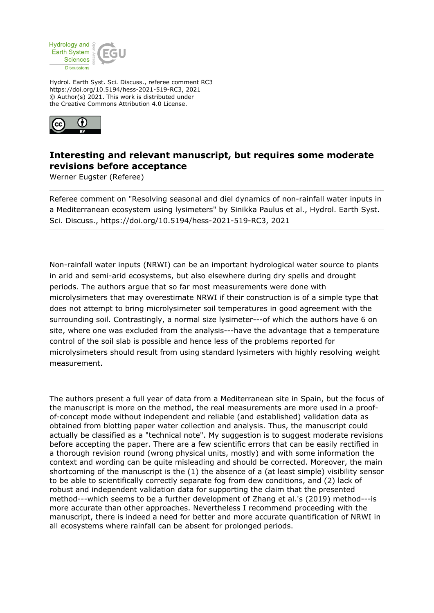

Hydrol. Earth Syst. Sci. Discuss., referee comment RC3 https://doi.org/10.5194/hess-2021-519-RC3, 2021 © Author(s) 2021. This work is distributed under the Creative Commons Attribution 4.0 License.



## **Interesting and relevant manuscript, but requires some moderate revisions before acceptance**

Werner Eugster (Referee)

Referee comment on "Resolving seasonal and diel dynamics of non-rainfall water inputs in a Mediterranean ecosystem using lysimeters" by Sinikka Paulus et al., Hydrol. Earth Syst. Sci. Discuss., https://doi.org/10.5194/hess-2021-519-RC3, 2021

Non-rainfall water inputs (NRWI) can be an important hydrological water source to plants in arid and semi-arid ecosystems, but also elsewhere during dry spells and drought periods. The authors argue that so far most measurements were done with microlysimeters that may overestimate NRWI if their construction is of a simple type that does not attempt to bring microlysimeter soil temperatures in good agreement with the surrounding soil. Contrastingly, a normal size lysimeter---of which the authors have 6 on site, where one was excluded from the analysis---have the advantage that a temperature control of the soil slab is possible and hence less of the problems reported for microlysimeters should result from using standard lysimeters with highly resolving weight measurement.

The authors present a full year of data from a Mediterranean site in Spain, but the focus of the manuscript is more on the method, the real measurements are more used in a proofof-concept mode without independent and reliable (and established) validation data as obtained from blotting paper water collection and analysis. Thus, the manuscript could actually be classified as a "technical note". My suggestion is to suggest moderate revisions before accepting the paper. There are a few scientific errors that can be easily rectified in a thorough revision round (wrong physical units, mostly) and with some information the context and wording can be quite misleading and should be corrected. Moreover, the main shortcoming of the manuscript is the (1) the absence of a (at least simple) visibility sensor to be able to scientifically correctly separate fog from dew conditions, and (2) lack of robust and independent validation data for supporting the claim that the presented method---which seems to be a further development of Zhang et al.'s (2019) method---is more accurate than other approaches. Nevertheless I recommend proceeding with the manuscript, there is indeed a need for better and more accurate quantification of NRWI in all ecosystems where rainfall can be absent for prolonged periods.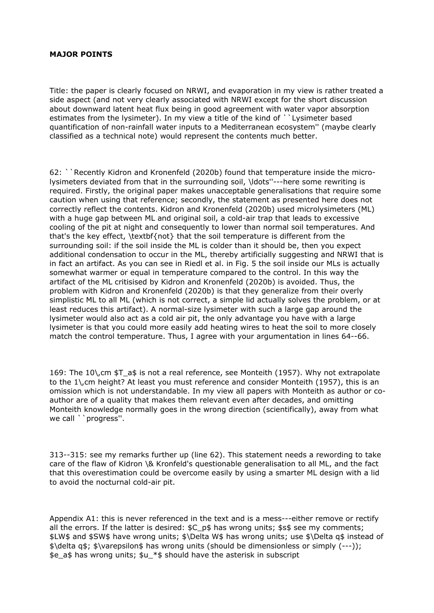## **MAJOR POINTS**

Title: the paper is clearly focused on NRWI, and evaporation in my view is rather treated a side aspect (and not very clearly associated with NRWI except for the short discussion about downward latent heat flux being in good agreement with water vapor absorption estimates from the lysimeter). In my view a title of the kind of ``Lysimeter based quantification of non-rainfall water inputs to a Mediterranean ecosystem'' (maybe clearly classified as a technical note) would represent the contents much better.

62: ``Recently Kidron and Kronenfeld (2020b) found that temperature inside the microlysimeters deviated from that in the surrounding soil, \ldots''---here some rewriting is required. Firstly, the original paper makes unacceptable generalisations that require some caution when using that reference; secondly, the statement as presented here does not correctly reflect the contents. Kidron and Kronenfeld (2020b) used microlysimeters (ML) with a huge gap between ML and original soil, a cold-air trap that leads to excessive cooling of the pit at night and consequently to lower than normal soil temperatures. And that's the key effect, \textbf{not} that the soil temperature is different from the surrounding soil: if the soil inside the ML is colder than it should be, then you expect additional condensation to occur in the ML, thereby artificially suggesting and NRWI that is in fact an artifact. As you can see in Riedl et al. in Fig. 5 the soil inside our MLs is actually somewhat warmer or equal in temperature compared to the control. In this way the artifact of the ML critisised by Kidron and Kronenfeld (2020b) is avoided. Thus, the problem with Kidron and Kronenfeld (2020b) is that they generalize from their overly simplistic ML to all ML (which is not correct, a simple lid actually solves the problem, or at least reduces this artifact). A normal-size lysimeter with such a large gap around the lysimeter would also act as a cold air pit, the only advantage you have with a large lysimeter is that you could more easily add heating wires to heat the soil to more closely match the control temperature. Thus, I agree with your argumentation in lines 64--66.

169: The 10\,cm \$T\_a\$ is not a real reference, see Monteith (1957). Why not extrapolate to the 1\,cm height? At least you must reference and consider Monteith (1957), this is an omission which is not understandable. In my view all papers with Monteith as author or coauthor are of a quality that makes them relevant even after decades, and omitting Monteith knowledge normally goes in the wrong direction (scientifically), away from what we call ``progress".

313--315: see my remarks further up (line 62). This statement needs a rewording to take care of the flaw of Kidron \& Kronfeld's questionable generalisation to all ML, and the fact that this overestimation could be overcome easily by using a smarter ML design with a lid to avoid the nocturnal cold-air pit.

Appendix A1: this is never referenced in the text and is a mess---either remove or rectify all the errors. If the latter is desired:  $C_p$ \$ has wrong units; \$s\$ see my comments; \$LW\$ and \$SW\$ have wrong units; \$\Delta W\$ has wrong units; use \$\Delta q\$ instead of \$\delta q\$; \$\varepsilon\$ has wrong units (should be dimensionless or simply (---)); \$e\_a\$ has wrong units; \$u \*\$ should have the asterisk in subscript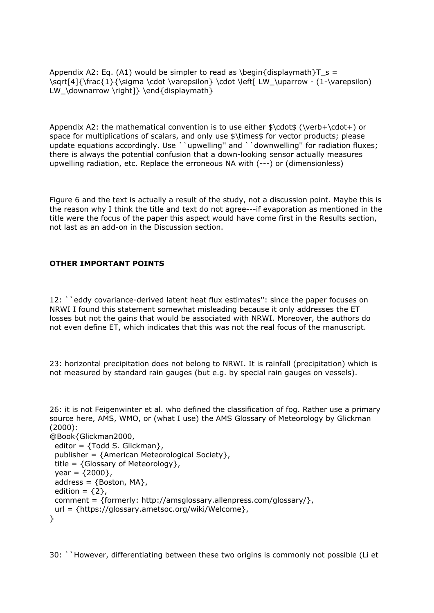Appendix A2: Eq. (A1) would be simpler to read as \begin{displaymath}T  $s =$ \sqrt[4]{\frac{1}{\sigma \cdot \varepsilon} \cdot \left[ LW\_\uparrow - (1-\varepsilon) LW\_\downarrow \right]} \end{displaymath}

Appendix A2: the mathematical convention is to use either \$\cdot\$ (\verb+\cdot+) or space for multiplications of scalars, and only use \$\times\$ for vector products; please update equations accordingly. Use ``upwelling'' and ``downwelling'' for radiation fluxes; there is always the potential confusion that a down-looking sensor actually measures upwelling radiation, etc. Replace the erroneous NA with (---) or (dimensionless)

Figure 6 and the text is actually a result of the study, not a discussion point. Maybe this is the reason why I think the title and text do not agree---if evaporation as mentioned in the title were the focus of the paper this aspect would have come first in the Results section, not last as an add-on in the Discussion section.

## **OTHER IMPORTANT POINTS**

12: ``eddy covariance-derived latent heat flux estimates'': since the paper focuses on NRWI I found this statement somewhat misleading because it only addresses the ET losses but not the gains that would be associated with NRWI. Moreover, the authors do not even define ET, which indicates that this was not the real focus of the manuscript.

23: horizontal precipitation does not belong to NRWI. It is rainfall (precipitation) which is not measured by standard rain gauges (but e.g. by special rain gauges on vessels).

```
26: it is not Feigenwinter et al. who defined the classification of fog. Rather use a primary
source here, AMS, WMO, or (what I use) the AMS Glossary of Meteorology by Glickman
(2000):
```

```
@Book{Glickman2000,
  editor = {Todd S. Glickman},
 publisher = {American Meteorological Society},
 title = \{Glossary\ of\ Metecorology\},
 year = {2000},
 address = \{ Boston, MA\},
 edition = {2},
  comment = {formerly: http://amsglossary.allenpress.com/glossary/},
 url = {https://glossary.ametsoc.org/wiki/Welcome},}
```
30: ``However, differentiating between these two origins is commonly not possible (Li et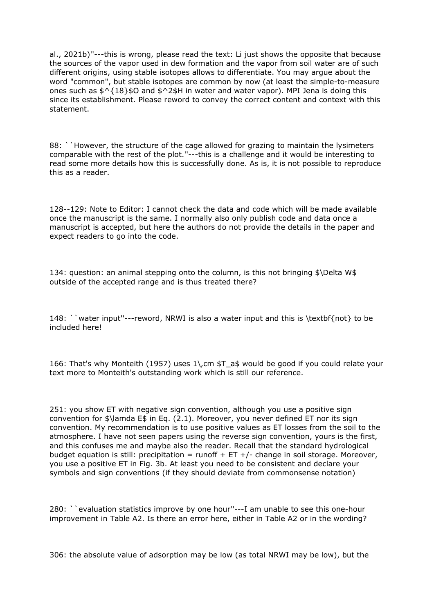al., 2021b)''---this is wrong, please read the text: Li just shows the opposite that because the sources of the vapor used in dew formation and the vapor from soil water are of such different origins, using stable isotopes allows to differentiate. You may argue about the word "common", but stable isotopes are common by now (at least the simple-to-measure ones such as  $\frac{6}{5}$ {18}\$O and  $\frac{6}{5}$ 2\$H in water and water vapor). MPI Jena is doing this since its establishment. Please reword to convey the correct content and context with this statement.

88: ``However, the structure of the cage allowed for grazing to maintain the lysimeters comparable with the rest of the plot.''---this is a challenge and it would be interesting to read some more details how this is successfully done. As is, it is not possible to reproduce this as a reader.

128--129: Note to Editor: I cannot check the data and code which will be made available once the manuscript is the same. I normally also only publish code and data once a manuscript is accepted, but here the authors do not provide the details in the paper and expect readers to go into the code.

134: question: an animal stepping onto the column, is this not bringing \$\Delta W\$ outside of the accepted range and is thus treated there?

148: ``water input''---reword, NRWI is also a water input and this is \textbf{not} to be included here!

166: That's why Monteith (1957) uses 1\,cm \$T\_a\$ would be good if you could relate your text more to Monteith's outstanding work which is still our reference.

251: you show ET with negative sign convention, although you use a positive sign convention for \$\lamda E\$ in Eq. (2.1). Moreover, you never defined ET nor its sign convention. My recommendation is to use positive values as ET losses from the soil to the atmosphere. I have not seen papers using the reverse sign convention, yours is the first, and this confuses me and maybe also the reader. Recall that the standard hydrological budget equation is still: precipitation = runoff + ET +/- change in soil storage. Moreover, you use a positive ET in Fig. 3b. At least you need to be consistent and declare your symbols and sign conventions (if they should deviate from commonsense notation)

280: ``evaluation statistics improve by one hour''---I am unable to see this one-hour improvement in Table A2. Is there an error here, either in Table A2 or in the wording?

306: the absolute value of adsorption may be low (as total NRWI may be low), but the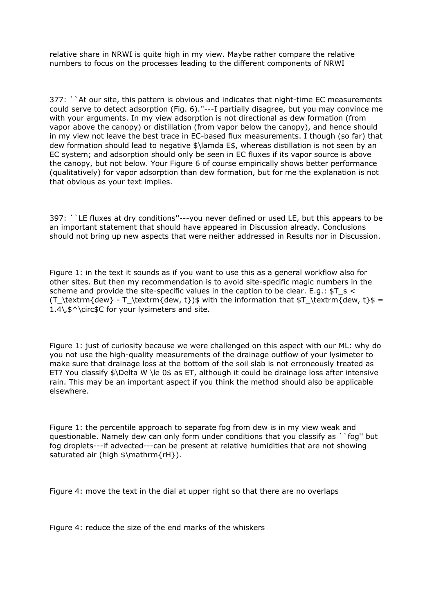relative share in NRWI is quite high in my view. Maybe rather compare the relative numbers to focus on the processes leading to the different components of NRWI

377: ``At our site, this pattern is obvious and indicates that night-time EC measurements could serve to detect adsorption (Fig. 6).''---I partially disagree, but you may convince me with your arguments. In my view adsorption is not directional as dew formation (from vapor above the canopy) or distillation (from vapor below the canopy), and hence should in my view not leave the best trace in EC-based flux measurements. I though (so far) that dew formation should lead to negative \$\lamda E\$, whereas distillation is not seen by an EC system; and adsorption should only be seen in EC fluxes if its vapor source is above the canopy, but not below. Your Figure 6 of course empirically shows better performance (qualitatively) for vapor adsorption than dew formation, but for me the explanation is not that obvious as your text implies.

397: ``LE fluxes at dry conditions''---you never defined or used LE, but this appears to be an important statement that should have appeared in Discussion already. Conclusions should not bring up new aspects that were neither addressed in Results nor in Discussion.

Figure 1: in the text it sounds as if you want to use this as a general workflow also for other sites. But then my recommendation is to avoid site-specific magic numbers in the scheme and provide the site-specific values in the caption to be clear. E.q.:  $ST \s <$ (T\_\textrm{dew} - T\_\textrm{dew, t})\$ with the information that \$T\_\textrm{dew, t}\$ = 1.4\,\$^\circ\$C for your lysimeters and site.

Figure 1: just of curiosity because we were challenged on this aspect with our ML: why do you not use the high-quality measurements of the drainage outflow of your lysimeter to make sure that drainage loss at the bottom of the soil slab is not erroneously treated as ET? You classify \$\Delta W \le 0\$ as ET, although it could be drainage loss after intensive rain. This may be an important aspect if you think the method should also be applicable elsewhere.

Figure 1: the percentile approach to separate fog from dew is in my view weak and questionable. Namely dew can only form under conditions that you classify as ``fog'' but fog droplets---if advected---can be present at relative humidities that are not showing saturated air (high \$\mathrm{rH}).

Figure 4: move the text in the dial at upper right so that there are no overlaps

Figure 4: reduce the size of the end marks of the whiskers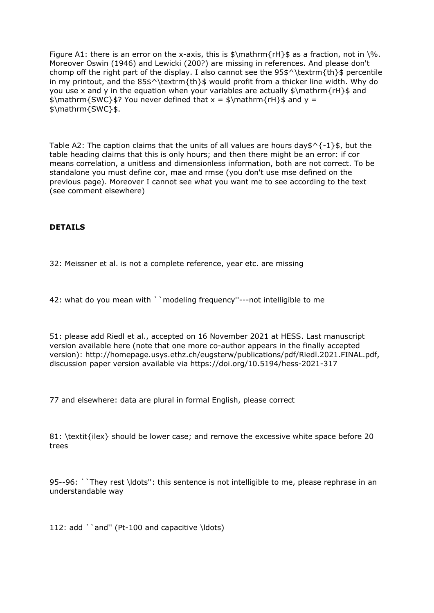Figure A1: there is an error on the x-axis, this is  $\mathcal{F}$  athrm{rH}\$ as a fraction, not in \%. Moreover Oswin (1946) and Lewicki (200?) are missing in references. And please don't chomp off the right part of the display. I also cannot see the  $95\$ ^{\text{th}}\ percentile in my printout, and the  $85\frac{\text{th}}{\text{s}}$  would profit from a thicker line width. Why do you use x and y in the equation when your variables are actually  $\mathcal{r} + \mathcal{r} + \mathcal{r} + \mathcal{r}$  and  $\mathrm{SWC}_{\$ ? You never defined that  $x = \frac{rH}{\$  and  $y =$ \$\mathrm{SWC}\$.

Table A2: The caption claims that the units of all values are hours day \$  $\frac{1}{5}$ , but the table heading claims that this is only hours; and then there might be an error: if cor means correlation, a unitless and dimensionless information, both are not correct. To be standalone you must define cor, mae and rmse (you don't use mse defined on the previous page). Moreover I cannot see what you want me to see according to the text (see comment elsewhere)

## **DETAILS**

32: Meissner et al. is not a complete reference, year etc. are missing

42: what do you mean with ``modeling frequency''---not intelligible to me

51: please add Riedl et al., accepted on 16 November 2021 at HESS. Last manuscript version available here (note that one more co-author appears in the finally accepted version): http://homepage.usys.ethz.ch/eugsterw/publications/pdf/Riedl.2021.FINAL.pdf, discussion paper version available via https://doi.org/10.5194/hess-2021-317

77 and elsewhere: data are plural in formal English, please correct

81: \textit{ilex} should be lower case; and remove the excessive white space before 20 trees

95--96: ``They rest \ldots'': this sentence is not intelligible to me, please rephrase in an understandable way

112: add ``and" (Pt-100 and capacitive \ldots)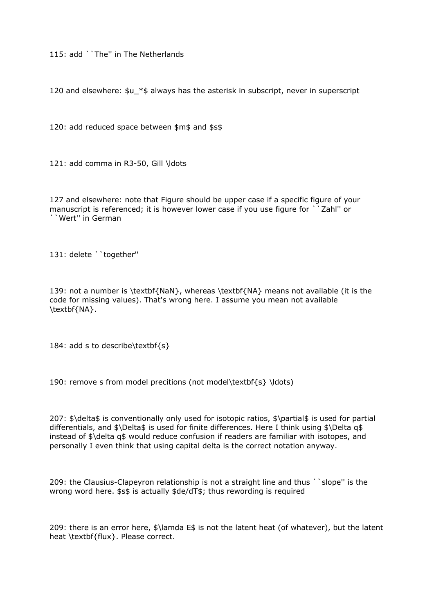115: add ``The'' in The Netherlands

120 and elsewhere: \$u\_\*\$ always has the asterisk in subscript, never in superscript

120: add reduced space between \$m\$ and \$s\$

121: add comma in R3-50, Gill \ldots

127 and elsewhere: note that Figure should be upper case if a specific figure of your manuscript is referenced; it is however lower case if you use figure for ``Zahl'' or ``Wert'' in German

131: delete ``together''

139: not a number is \textbf{NaN}, whereas \textbf{NA} means not available (it is the code for missing values). That's wrong here. I assume you mean not available \textbf{NA}.

184: add s to describe\textbf{s}

190: remove s from model precitions (not model\textbf{s} \ldots)

207: \$\delta\$ is conventionally only used for isotopic ratios, \$\partial\$ is used for partial differentials, and \$\Delta\$ is used for finite differences. Here I think using \$\Delta q\$ instead of \$\delta q\$ would reduce confusion if readers are familiar with isotopes, and personally I even think that using capital delta is the correct notation anyway.

209: the Clausius-Clapeyron relationship is not a straight line and thus ``slope'' is the wrong word here. \$s\$ is actually \$de/dT\$; thus rewording is required

209: there is an error here, \$\lamda E\$ is not the latent heat (of whatever), but the latent heat \textbf{flux}. Please correct.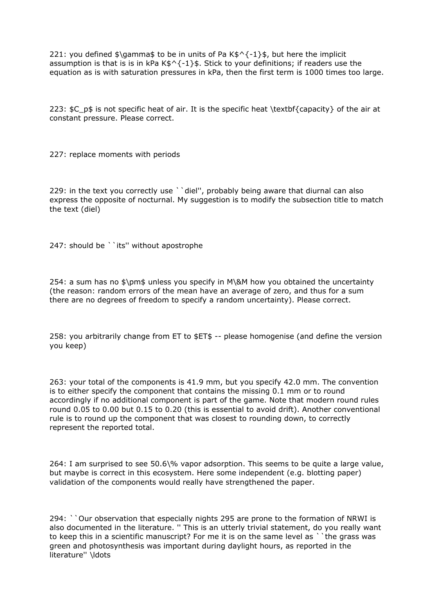221: you defined  $\lambda$  amma $\pm$  to be in units of Pa K $\pm$   $\lambda$  -1  $\pm$  but here the implicit assumption is that is is in kPa  $K$^{\wedge}$ {-1}\$. Stick to your definitions; if readers use the equation as is with saturation pressures in kPa, then the first term is 1000 times too large.

223:  $$C$$  p\$ is not specific heat of air. It is the specific heat \textbf{capacity} of the air at constant pressure. Please correct.

227: replace moments with periods

229: in the text you correctly use ``diel", probably being aware that diurnal can also express the opposite of nocturnal. My suggestion is to modify the subsection title to match the text (diel)

247: should be ``its'' without apostrophe

254: a sum has no \$\pm\$ unless you specify in M\&M how you obtained the uncertainty (the reason: random errors of the mean have an average of zero, and thus for a sum there are no degrees of freedom to specify a random uncertainty). Please correct.

258: you arbitrarily change from ET to \$ET\$ -- please homogenise (and define the version you keep)

263: your total of the components is 41.9 mm, but you specify 42.0 mm. The convention is to either specify the component that contains the missing 0.1 mm or to round accordingly if no additional component is part of the game. Note that modern round rules round 0.05 to 0.00 but 0.15 to 0.20 (this is essential to avoid drift). Another conventional rule is to round up the component that was closest to rounding down, to correctly represent the reported total.

264: I am surprised to see 50.6\% vapor adsorption. This seems to be quite a large value, but maybe is correct in this ecosystem. Here some independent (e.g. blotting paper) validation of the components would really have strengthened the paper.

294: ``Our observation that especially nights 295 are prone to the formation of NRWI is also documented in the literature. '' This is an utterly trivial statement, do you really want to keep this in a scientific manuscript? For me it is on the same level as ``the grass was green and photosynthesis was important during daylight hours, as reported in the literature'' \ldots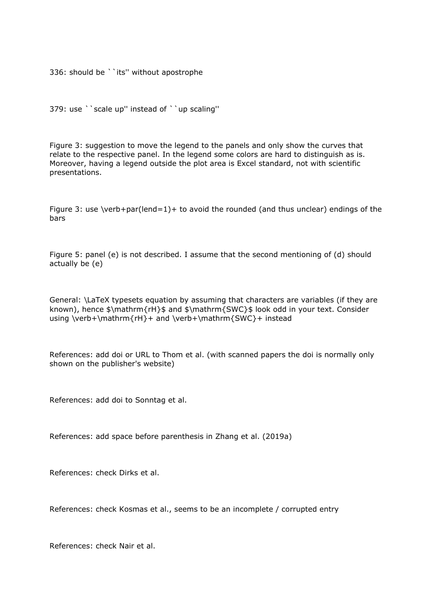336: should be ``its'' without apostrophe

379: use ``scale up'' instead of ``up scaling''

Figure 3: suggestion to move the legend to the panels and only show the curves that relate to the respective panel. In the legend some colors are hard to distinguish as is. Moreover, having a legend outside the plot area is Excel standard, not with scientific presentations.

Figure 3: use \verb+par(lend=1)+ to avoid the rounded (and thus unclear) endings of the bars

Figure 5: panel (e) is not described. I assume that the second mentioning of (d) should actually be (e)

General: \LaTeX typesets equation by assuming that characters are variables (if they are known), hence \$\mathrm{rH}\$ and \$\mathrm{SWC}\$ look odd in your text. Consider using \verb+\mathrm{rH}+ and \verb+\mathrm{SWC}+ instead

References: add doi or URL to Thom et al. (with scanned papers the doi is normally only shown on the publisher's website)

References: add doi to Sonntag et al.

References: add space before parenthesis in Zhang et al. (2019a)

References: check Dirks et al.

References: check Kosmas et al., seems to be an incomplete / corrupted entry

References: check Nair et al.